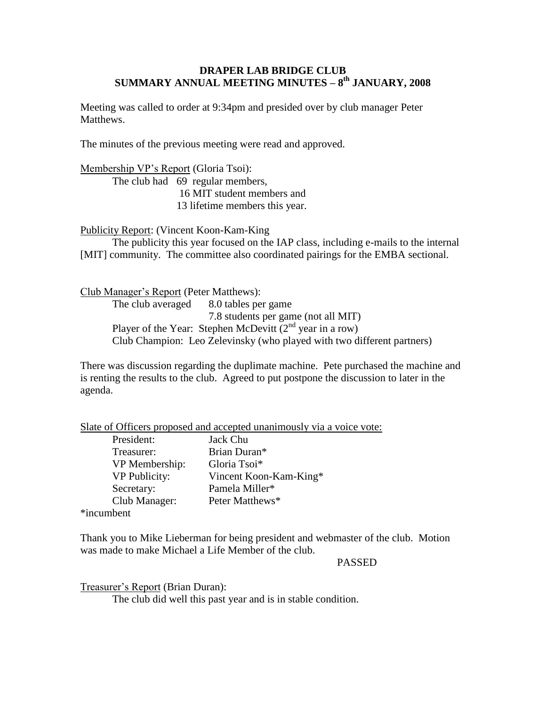## **DRAPER LAB BRIDGE CLUB SUMMARY ANNUAL MEETING MINUTES – 8 th JANUARY, 2008**

Meeting was called to order at 9:34pm and presided over by club manager Peter Matthews.

The minutes of the previous meeting were read and approved.

Membership VP's Report (Gloria Tsoi): The club had 69 regular members, 16 MIT student members and 13 lifetime members this year.

Publicity Report: (Vincent Koon-Kam-King

The publicity this year focused on the IAP class, including e-mails to the internal [MIT] community. The committee also coordinated pairings for the EMBA sectional.

Club Manager's Report (Peter Matthews):

The club averaged 8.0 tables per game 7.8 students per game (not all MIT) Player of the Year: Stephen McDevitt  $(2<sup>nd</sup>$  year in a row) Club Champion: Leo Zelevinsky (who played with two different partners)

There was discussion regarding the duplimate machine. Pete purchased the machine and is renting the results to the club. Agreed to put postpone the discussion to later in the agenda.

Slate of Officers proposed and accepted unanimously via a voice vote:

| President:           | Jack Chu               |
|----------------------|------------------------|
| Treasurer:           | Brian Duran*           |
| VP Membership:       | Gloria Tsoi*           |
| <b>VP Publicity:</b> | Vincent Koon-Kam-King* |
| Secretary:           | Pamela Miller*         |
| Club Manager:        | Peter Matthews*        |
| ımhant               |                        |

\*incumbent

Thank you to Mike Lieberman for being president and webmaster of the club. Motion was made to make Michael a Life Member of the club.

## PASSED

Treasurer's Report (Brian Duran):

The club did well this past year and is in stable condition.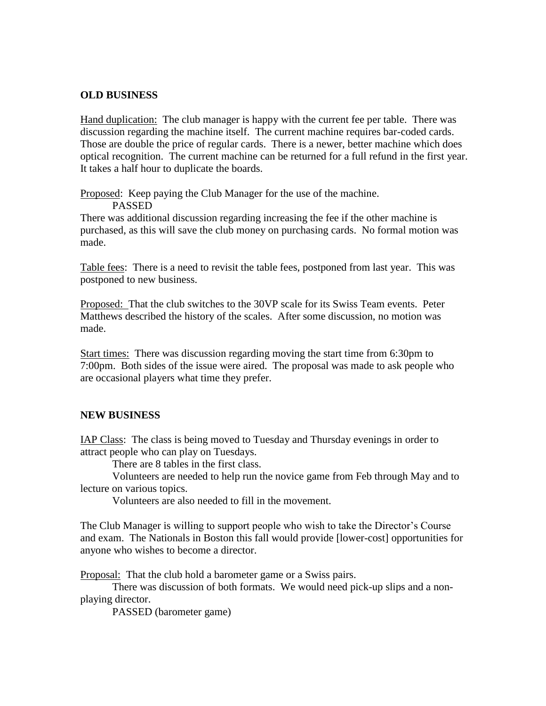## **OLD BUSINESS**

Hand duplication: The club manager is happy with the current fee per table. There was discussion regarding the machine itself. The current machine requires bar-coded cards. Those are double the price of regular cards. There is a newer, better machine which does optical recognition. The current machine can be returned for a full refund in the first year. It takes a half hour to duplicate the boards.

Proposed: Keep paying the Club Manager for the use of the machine.

PASSED

There was additional discussion regarding increasing the fee if the other machine is purchased, as this will save the club money on purchasing cards. No formal motion was made.

Table fees: There is a need to revisit the table fees, postponed from last year. This was postponed to new business.

Proposed: That the club switches to the 30VP scale for its Swiss Team events. Peter Matthews described the history of the scales. After some discussion, no motion was made.

Start times: There was discussion regarding moving the start time from 6:30pm to 7:00pm. Both sides of the issue were aired. The proposal was made to ask people who are occasional players what time they prefer.

## **NEW BUSINESS**

IAP Class: The class is being moved to Tuesday and Thursday evenings in order to attract people who can play on Tuesdays.

There are 8 tables in the first class.

Volunteers are needed to help run the novice game from Feb through May and to lecture on various topics.

Volunteers are also needed to fill in the movement.

The Club Manager is willing to support people who wish to take the Director's Course and exam. The Nationals in Boston this fall would provide [lower-cost] opportunities for anyone who wishes to become a director.

Proposal: That the club hold a barometer game or a Swiss pairs.

There was discussion of both formats. We would need pick-up slips and a nonplaying director.

PASSED (barometer game)